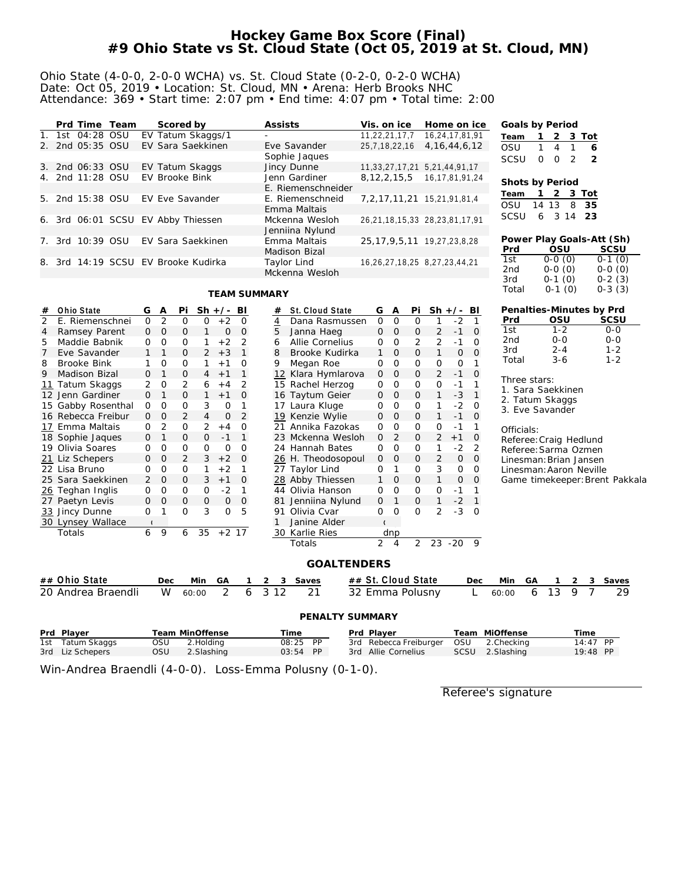### **Hockey Game Box Score (Final) #9 Ohio State vs St. Cloud State (Oct 05, 2019 at St. Cloud, MN)**

#### Ohio State (4-0-0, 2-0-0 WCHA) vs. St. Cloud State (0-2-0, 0-2-0 WCHA) Date: Oct 05, 2019 • Location: St. Cloud, MN • Arena: Herb Brooks NHC Attendance: 369 • Start time: 2:07 pm • End time: 4:07 pm • Total time: 2:00

|             | Prd Time Team |  | Scored by                          | Assists            | Vis. on ice                          | Home on ice      | Goals by Period |          |                           |                |                           |
|-------------|---------------|--|------------------------------------|--------------------|--------------------------------------|------------------|-----------------|----------|---------------------------|----------------|---------------------------|
|             | 1st 04:28 OSU |  | EV Tatum Skaggs/1                  | Ξ.                 | 11,22,21,17,7                        | 16.24.17.81.91   | Team            |          | 2                         | 3 Tot          |                           |
| $2^{\circ}$ | 2nd 05:35 OSU |  | EV Sara Saekkinen                  | Eve Savander       | 25,7,18,22,16                        | 4, 16, 44, 6, 12 | OSU             |          | 4                         |                | 6                         |
|             |               |  |                                    | Sophie Jaques      |                                      |                  | <b>SCSU</b>     | $\Omega$ | $\Omega$<br>$\mathcal{L}$ | $\overline{2}$ |                           |
| 3.          | 2nd 06:33 OSU |  | EV Tatum Skaggs                    | Jincy Dunne        | 11, 33, 27, 17, 21 5, 21, 44, 91, 17 |                  |                 |          |                           |                |                           |
| 4.          | 2nd 11:28 OSU |  | EV Brooke Bink                     | Jenn Gardiner      | 8, 12, 2, 15, 5                      | 16,17,81,91,24   | Shots by Period |          |                           |                |                           |
|             |               |  |                                    | E. Riemenschneider |                                      |                  |                 |          | 2                         | 3 Tot          |                           |
| 5.          | 2nd 15:38 OSU |  | EV Eve Savander                    | E. Riemenschneid   | 7, 2, 17, 11, 21 15, 21, 91, 81, 4   |                  | Team            |          |                           |                |                           |
|             |               |  |                                    | Emma Maltais       |                                      |                  | OSU             | 14 13    |                           | 8 35           |                           |
|             |               |  | 6. 3rd 06:01 SCSU EV Abby Thiessen | Mckenna Wesloh     | 26,21,18,15,33 28,23,81,17,91        |                  | <b>SCSU</b>     | 6        | 3 14 23                   |                |                           |
|             |               |  |                                    | Jenniina Nylund    |                                      |                  |                 |          |                           |                |                           |
| $7_{\cdot}$ | 3rd 10:39 OSU |  | EV Sara Saekkinen                  | Emma Maltais       | 25, 17, 9, 5, 11 19, 27, 23, 8, 28   |                  |                 |          |                           |                | Power Play Goals-Att (Sh) |
|             |               |  |                                    | Madison Bizal      |                                      |                  | <b>Prd</b>      |          | OSU                       |                | SCSU                      |
| 8.          |               |  | 3rd 14:19 SCSU EV Brooke Kudirka   | Taylor Lind        | 16, 26, 27, 18, 25 8, 27, 23, 44, 21 |                  | 1st             |          | $0-0(0)$                  |                | $0-1(0)$                  |
|             |               |  |                                    | Mckenna Wesloh     |                                      |                  | 2nd             |          | $0-0(0)$                  |                | $0-0(0)$                  |
|             |               |  |                                    |                    |                                      |                  | 3rd             |          | $0-1(0)$                  |                | $0-2(3)$                  |

#### **TEAM SUMMARY**

| #  | <b>Ohio State</b>  | G              | Α              | Pi             |                | $Sh +/- BI$ |          | #       | St. Cloud State    |                    | G              | Α            | Pi       | $Sh +/-$       |              | BI             |                 |    | Penalties-Minutes by Prd |   |   |                                |  |
|----|--------------------|----------------|----------------|----------------|----------------|-------------|----------|---------|--------------------|--------------------|----------------|--------------|----------|----------------|--------------|----------------|-----------------|----|--------------------------|---|---|--------------------------------|--|
| 2  | E. Riemenschnei    | $\Omega$       | $\overline{2}$ | 0              | 0              | $+2$        | 0        | 4       | Dana Rasmussen     |                    | $\mathbf 0$    | $\Omega$     | O        | 1              | $-2$         | $\mathbf 1$    | Prd             |    | OSU                      |   |   | SCSU                           |  |
| 4  | Ramsey Parent      | $\overline{0}$ | $\Omega$       | $\mathbf{O}$   |                | 0           | 0        | 5       | Janna Haeg         |                    | $\mathbf{0}$   | $\Omega$     | 0        | 2              | $-1$         | $\mathbf 0$    | 1st             |    | $1 - 2$                  |   |   | $0 - 0$                        |  |
| 5  | Maddie Babnik      | 0              | O              | 0              |                | $+2$        | 2        | 6       | Allie Cornelius    |                    | 0              | O            | 2        | 2              | $-1$         | 0              | 2 <sub>nd</sub> |    | $O - O$                  |   |   | $O-O$                          |  |
|    | Eve Savander       |                |                | $\Omega$       | 2              | $+3$        | 1        | 8       | Brooke Kudirka     |                    |                | $\mathbf{O}$ | 0        | $\mathbf{1}$   | $\mathsf{O}$ | $\mathbf{O}$   | 3rd             |    | $2 - 4$                  |   |   | $1 - 2$                        |  |
| 8  | <b>Brooke Bink</b> | 1              | $\Omega$       | 0              |                | $+1$        | O        | 9       | Megan Roe          |                    | $\Omega$       | $\Omega$     | 0        | 0              | 0            | 1              | Total           |    | $3 - 6$                  |   |   | $1 - 2$                        |  |
| 9  | Madison Bizal      | 0              | 1              | 0              | 4              | $+1$        | 1        |         | 12 Klara Hymlarova |                    | 0              | $\Omega$     | 0        | 2              | $-1$         | 0              |                 |    |                          |   |   |                                |  |
| 11 | Tatum Skaggs       | 2              | $\mathcal{O}$  | $\overline{2}$ | 6              | $+4$        | 2        | 15      | Rachel Herzog      |                    | 0              | O            | 0        | 0              | $-1$         |                | Three stars:    |    |                          |   |   |                                |  |
|    | 12 Jenn Gardiner   | $\Omega$       | 1              | 0              |                | $+1$        | 0        |         | 16 Taytum Geier    |                    | 0              | $\mathbf 0$  | 0        | $\mathbf{1}$   | $-3$         | $\mathbf{1}$   |                 |    | 1. Sara Saekkinen        |   |   |                                |  |
|    | 15 Gabby Rosenthal | 0              | $\Omega$       | $\mathbf{O}$   | 3              | 0           | 1        | 17      | Laura Kluge        |                    | $\circ$        | $\Omega$     | 0        | 1              | $-2$         | 0              |                 |    | 2. Tatum Skaggs          |   |   |                                |  |
|    | 16 Rebecca Freibur | $\mathbf{O}$   | $\circ$        | 2              | $\overline{4}$ | $\mathbf 0$ | 2        | 19      | Kenzie Wylie       |                    | $\mathcal{O}$  | 0            | 0        | $\mathbf{1}$   | $-1$         | 0              |                 |    | 3. Eve Savander          |   |   |                                |  |
|    | 17 Emma Maltais    | 0              | 2              | 0              | 2              | $+4$        | O        | 21      | Annika Fazokas     |                    | 0              | $\Omega$     | 0        | 0              | $-1$         |                | Officials:      |    |                          |   |   |                                |  |
|    | 18 Sophie Jaques   | $\mathbf 0$    | 1              | $\mathbf{O}$   | $\mathbf{O}$   | $-1$        | 1        |         | 23 Mckenna Wesloh  |                    | 0              | 2            | 0        | 2              | $+1$         | 0              |                 |    | Referee: Craig Hedlund   |   |   |                                |  |
|    | 19 Olivia Soares   | $\Omega$       | $\Omega$       | $\mathbf{O}$   | $\Omega$       | 0           | $\Omega$ |         | 24 Hannah Bates    |                    | $\circ$        | $\Omega$     | 0        | 1              | $-2$         | $\overline{2}$ |                 |    | Referee: Sarma Ozmen     |   |   |                                |  |
|    | 21 Liz Schepers    | $\mathbf 0$    | $\circ$        | 2              | 3              | $+2$        | 0        |         | 26 H. Theodosopoul |                    | 0              | 0            | 0        | 2              | 0            | 0              |                 |    | Linesman: Brian Jansen   |   |   |                                |  |
|    | 22 Lisa Bruno      | 0              | $\circ$        | $\mathbf 0$    | 1              | $+2$        | 1        |         | 27 Taylor Lind     |                    | 0              |              | O        | 3              | 0            | 0              |                 |    | Linesman: Aaron Neville  |   |   |                                |  |
|    | 25 Sara Saekkinen  | 2              | $\circ$        | 0              | 3              | $+1$        | 0        |         | 28 Abby Thiessen   |                    |                | $\circ$      | 0        | $\mathbf{1}$   | 0            | 0              |                 |    |                          |   |   | Game timekeeper: Brent Pakkala |  |
|    | 26 Teghan Inglis   | 0              | $\mathcal{O}$  | 0              | 0              | $-2$        | 1        | 44      | Olivia Hanson      |                    | 0              | O            | 0        | 0              | $-1$         | 1              |                 |    |                          |   |   |                                |  |
|    | 27 Paetyn Levis    | $\mathbf{O}$   | $\circ$        | $\mathbf{O}$   | $\mathbf{O}$   | 0           | 0        |         | Jenniina Nylund    |                    | $\mathbf{0}$   |              | 0        | 1              | $-2$         | 1              |                 |    |                          |   |   |                                |  |
|    | 33 Jincy Dunne     | 0              |                | $\Omega$       | 3              | $\Omega$    | 5        | 91      | Olivia Cvar        |                    | 0              | $\Omega$     | $\Omega$ | $\overline{2}$ | $-3$         | $\Omega$       |                 |    |                          |   |   |                                |  |
|    | 30 Lynsey Wallace  |                |                |                |                |             |          |         | Janine Alder       |                    |                |              |          |                |              |                |                 |    |                          |   |   |                                |  |
|    | Totals             | 6              | 9              | 6              | 35             | $+2$ 17     |          |         | 30 Karlie Ries     |                    |                | dnp          |          |                |              |                |                 |    |                          |   |   |                                |  |
|    |                    |                |                |                |                |             |          |         | Totals             |                    | $\overline{2}$ | 4            | 2        | 23             | $-20$        | 9              |                 |    |                          |   |   |                                |  |
|    |                    |                |                |                |                |             |          |         |                    |                    |                |              |          |                |              |                |                 |    |                          |   |   |                                |  |
|    |                    |                |                |                |                |             |          |         |                    | <b>GOALTENDERS</b> |                |              |          |                |              |                |                 |    |                          |   |   |                                |  |
|    | ## Ohio State      |                | Dec            |                | Min            | GA          | 1        | 2<br>3  | Saves              | ## St. Cloud State |                |              |          |                |              | Dec            | Min             | GA | 1                        | 2 | 3 | Saves                          |  |
|    | 20 Andrea Braendli |                | W              |                | 60:00          | 2           | 6        | 3<br>12 | 21                 | 32 Emma Polusny    |                |              |          |                |              |                | 60:00           | 6  | 13                       | 9 | 7 | 29                             |  |
|    |                    |                |                |                |                |             |          |         |                    |                    |                |              |          |                |              |                |                 |    |                          |   |   |                                |  |
|    | PENALTY SUMMARY    |                |                |                |                |             |          |         |                    |                    |                |              |          |                |              |                |                 |    |                          |   |   |                                |  |
|    |                    |                |                |                |                |             |          |         |                    |                    |                |              |          |                |              |                |                 |    |                          |   |   |                                |  |

| Prd Player       |     | Team MinOffense | Time     |  | Prd Plaver                            | Team MiOffense  | Time       |  |
|------------------|-----|-----------------|----------|--|---------------------------------------|-----------------|------------|--|
| 1st Tatum Skaggs | OSU | 2.Holdina       | 08:25 PP |  | 3rd Rebecca Freiburger OSU 2.Checking |                 | $14.47$ PP |  |
| 3rd Liz Schepers | OSU | 2. Slashing     | 03:54 PP |  | 3rd Allie Cornelius                   | SCSU 2.Slashing | $19:48$ PP |  |

Win-Andrea Braendli (4-0-0). Loss-Emma Polusny (0-1-0).

Referee's signature

Total 0-1 (0) 0-3 (3)